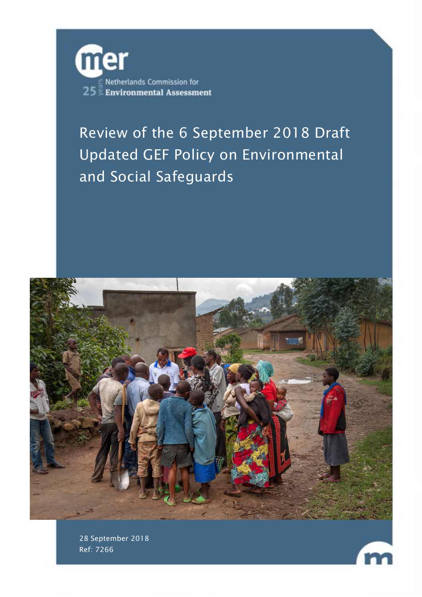

# Review of the 6 September 2018 Draft Updated GEF Policy on Environmental and Social Safeguards



28 September 2018 Ref: 7266

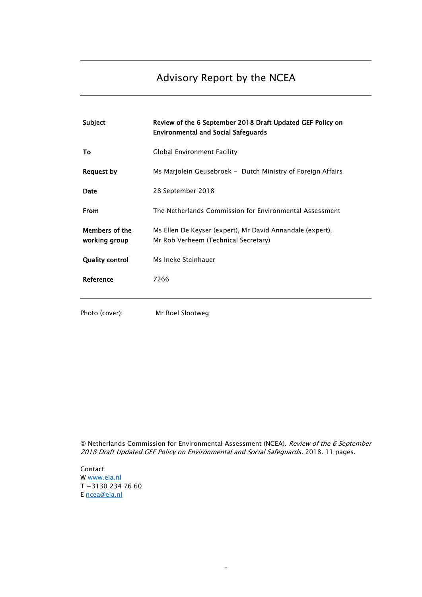# Advisory Report by the NCEA

| Subject                         | Review of the 6 September 2018 Draft Updated GEF Policy on<br><b>Environmental and Social Safeguards</b> |
|---------------------------------|----------------------------------------------------------------------------------------------------------|
| То                              | Global Environment Facility                                                                              |
| <b>Request by</b>               | Ms Marjolein Geusebroek - Dutch Ministry of Foreign Affairs                                              |
| Date                            | 28 September 2018                                                                                        |
| <b>From</b>                     | The Netherlands Commission for Environmental Assessment                                                  |
| Members of the<br>working group | Ms Ellen De Keyser (expert), Mr David Annandale (expert),<br>Mr Rob Verheem (Technical Secretary)        |
| <b>Quality control</b>          | Ms Ineke Steinhauer                                                                                      |
| Reference                       | 7266                                                                                                     |
| Photo (cover):                  | Mr Roel Slootweg                                                                                         |

© Netherlands Commission for Environmental Assessment (NCEA). Review of the 6 September 2018 Draft Updated GEF Policy on Environmental and Social Safeguards. 2018. 11 pages.

-

Contact W [www.eia.nl](http://www.eia.nl/) T +3130 234 76 60 E [ncea@eia.nl](mailto:ncea@eia.nl)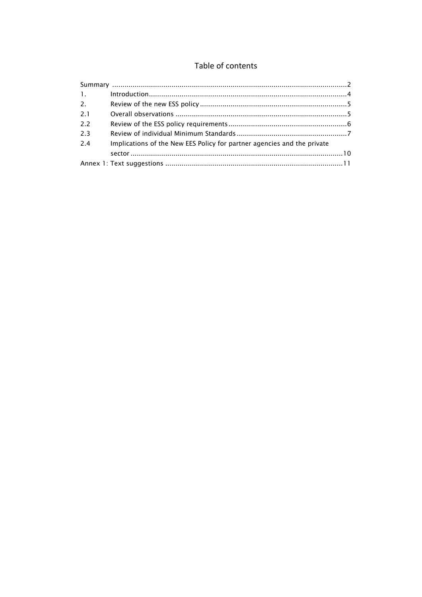### Table of contents

| 1.111 |                                                                         |  |
|-------|-------------------------------------------------------------------------|--|
| 2.    |                                                                         |  |
| 21    |                                                                         |  |
| 22    |                                                                         |  |
| 2.3   |                                                                         |  |
| 2.4   | Implications of the New EES Policy for partner agencies and the private |  |
|       |                                                                         |  |
|       |                                                                         |  |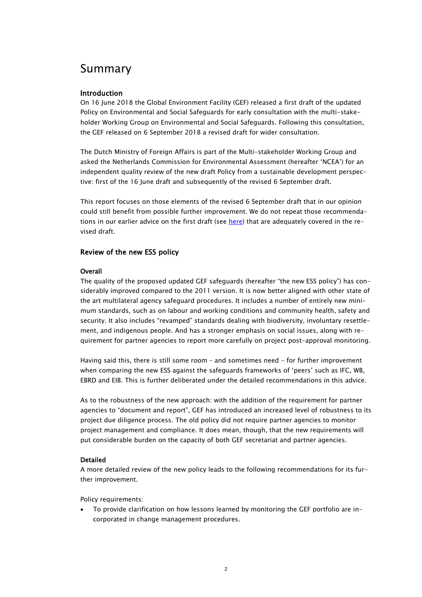## <span id="page-3-0"></span>Summary

#### Introduction

On 16 June 2018 the Global Environment Facility (GEF) released a first draft of the updated Policy on Environmental and Social Safeguards for early consultation with the multi-stakeholder Working Group on Environmental and Social Safeguards. Following this consultation, the GEF released on 6 September 2018 a revised draft for wider consultation.

The Dutch Ministry of Foreign Affairs is part of the Multi-stakeholder Working Group and asked the Netherlands Commission for Environmental Assessment (hereafter 'NCEA') for an independent quality review of the new draft Policy from a sustainable development perspective: first of the 16 June draft and subsequently of the revised 6 September draft.

This report focuses on those elements of the revised 6 September draft that in our opinion could still benefit from possible further improvement. We do not repeat those recommendations in our earlier advice on the first draft (see [here\)](https://dsu.eia.nl/publications/advisory-reports/7266) that are adequately covered in the revised draft.

#### Review of the new ESS policy

#### **Overall**

The quality of the proposed updated GEF safeguards (hereafter "the new ESS policy") has considerably improved compared to the 2011 version. It is now better aligned with other state of the art multilateral agency safeguard procedures. It includes a number of entirely new minimum standards, such as on labour and working conditions and community health, safety and security. It also includes "revamped" standards dealing with biodiversity, involuntary resettlement, and indigenous people. And has a stronger emphasis on social issues, along with requirement for partner agencies to report more carefully on project post-approval monitoring.

Having said this, there is still some room – and sometimes need - for further improvement when comparing the new ESS against the safeguards frameworks of 'peers' such as IFC, WB, EBRD and EIB. This is further deliberated under the detailed recommendations in this advice.

As to the robustness of the new approach: with the addition of the requirement for partner agencies to "document and report", GEF has introduced an increased level of robustness to its project due diligence process. The old policy did not require partner agencies to monitor project management and compliance. It does mean, though, that the new requirements will put considerable burden on the capacity of both GEF secretariat and partner agencies.

#### Detailed

A more detailed review of the new policy leads to the following recommendations for its further improvement.

Policy requirements:

• To provide clarification on how lessons learned by monitoring the GEF portfolio are incorporated in change management procedures.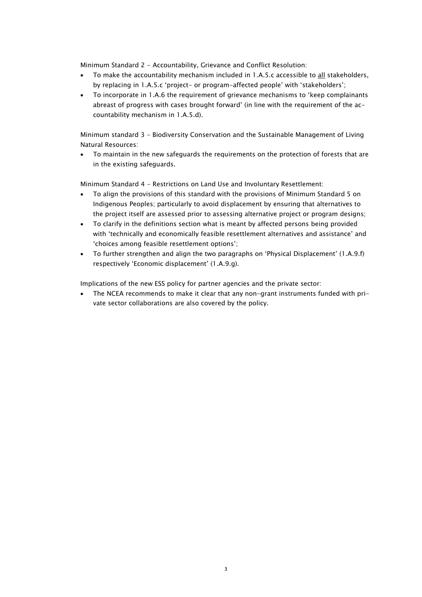Minimum Standard 2 - Accountability, Grievance and Conflict Resolution:

- To make the accountability mechanism included in 1.A.5.c accessible to all stakeholders, by replacing in 1.A.5.c 'project- or program-affected people' with 'stakeholders';
- To incorporate in 1.A.6 the requirement of grievance mechanisms to 'keep complainants abreast of progress with cases brought forward' (in line with the requirement of the accountability mechanism in 1.A.5.d).

Minimum standard 3 - Biodiversity Conservation and the Sustainable Management of Living Natural Resources:

• To maintain in the new safeguards the requirements on the protection of forests that are in the existing safeguards.

Minimum Standard 4 - Restrictions on Land Use and Involuntary Resettlement:

- To align the provisions of this standard with the provisions of Minimum Standard 5 on Indigenous Peoples; particularly to avoid displacement by ensuring that alternatives to the project itself are assessed prior to assessing alternative project or program designs;
- To clarify in the definitions section what is meant by affected persons being provided with 'technically and economically feasible resettlement alternatives and assistance' and 'choices among feasible resettlement options';
- To further strengthen and align the two paragraphs on 'Physical Displacement' (1.A.9.f) respectively 'Economic displacement' (1.A.9.g).

Implications of the new ESS policy for partner agencies and the private sector:

• The NCEA recommends to make it clear that any non-grant instruments funded with private sector collaborations are also covered by the policy.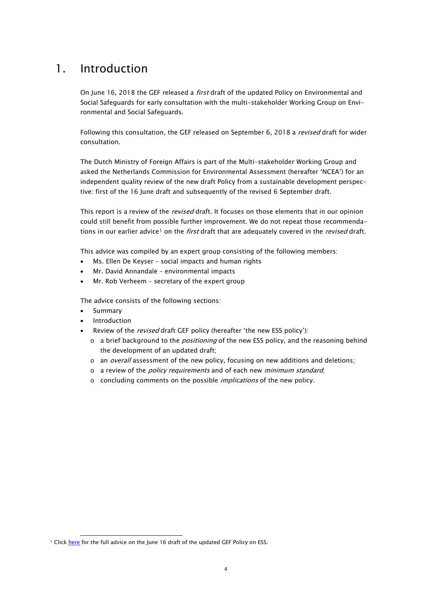# <span id="page-5-0"></span>1. Introduction

On June 16, 2018 the GEF released a *first* draft of the updated Policy on Environmental and Social Safeguards for early consultation with the multi-stakeholder Working Group on Environmental and Social Safeguards.

Following this consultation, the GEF released on September 6, 2018 a revised draft for wider consultation.

The Dutch Ministry of Foreign Affairs is part of the Multi-stakeholder Working Group and asked the Netherlands Commission for Environmental Assessment (hereafter 'NCEA') for an independent quality review of the new draft Policy from a sustainable development perspective: first of the 16 June draft and subsequently of the revised 6 September draft.

This report is a review of the *revised* draft. It focuses on those elements that in our opinion could still benefit from possible further improvement. We do not repeat those recommenda-tions in our earlier advice<sup>[1](#page-5-1)</sup> on the first draft that are adequately covered in the revised draft.

This advice was compiled by an expert group consisting of the following members:

- Ms. Ellen De Keyser social impacts and human rights
- Mr. David Annandale environmental impacts
- Mr. Rob Verheem secretary of the expert group

The advice consists of the following sections:

• Summary

 $\overline{a}$ 

- **Introduction**
- Review of the *revised* draft GEF policy (hereafter 'the new ESS policy'):
	- $\circ$  a brief background to the *positioning* of the new ESS policy, and the reasoning behind the development of an updated draft;
	- o an *overall* assessment of the new policy, focusing on new additions and deletions;
	- $\circ$  a review of the *policy requirements* and of each new *minimum standard*;
	- o concluding comments on the possible implications of the new policy.

<span id="page-5-1"></span><sup>&</sup>lt;sup>1</sup> Clic[k here](https://dsu.eia.nl/publications/advisory-reports/7266) for the full advice on the June 16 draft of the updated GEF Policy on ESS.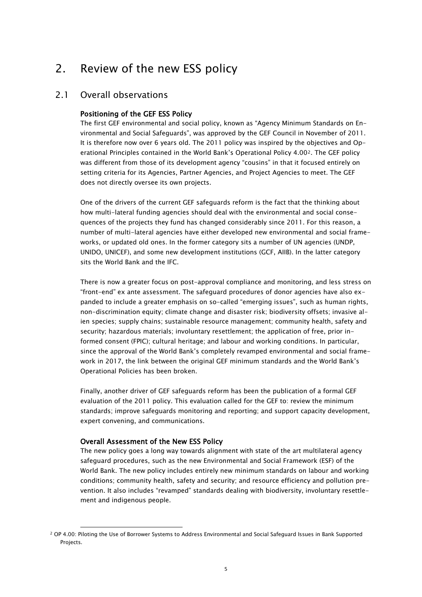# <span id="page-6-0"></span>2. Review of the new ESS policy

### <span id="page-6-1"></span>2.1 Overall observations

#### Positioning of the GEF ESS Policy

The first GEF environmental and social policy, known as "Agency Minimum Standards on Environmental and Social Safeguards", was approved by the GEF Council in November of 2011. It is therefore now over 6 years old. The 2011 policy was inspired by the objectives and Operational Principles contained in the World Bank's Operational Policy 4.00[2](#page-6-2). The GEF policy was different from those of its development agency "cousins" in that it focused entirely on setting criteria for its Agencies, Partner Agencies, and Project Agencies to meet. The GEF does not directly oversee its own projects.

One of the drivers of the current GEF safeguards reform is the fact that the thinking about how multi-lateral funding agencies should deal with the environmental and social consequences of the projects they fund has changed considerably since 2011. For this reason, a number of multi-lateral agencies have either developed new environmental and social frameworks, or updated old ones. In the former category sits a number of UN agencies (UNDP, UNIDO, UNICEF), and some new development institutions (GCF, AIIB). In the latter category sits the World Bank and the IFC.

There is now a greater focus on post-approval compliance and monitoring, and less stress on "front-end" ex ante assessment. The safeguard procedures of donor agencies have also expanded to include a greater emphasis on so-called "emerging issues", such as human rights, non-discrimination equity; climate change and disaster risk; biodiversity offsets; invasive alien species; supply chains; sustainable resource management; community health, safety and security; hazardous materials; involuntary resettlement; the application of free, prior informed consent (FPIC); cultural heritage; and labour and working conditions. In particular, since the approval of the World Bank's completely revamped environmental and social framework in 2017, the link between the original GEF minimum standards and the World Bank's Operational Policies has been broken.

Finally, another driver of GEF safeguards reform has been the publication of a formal GEF evaluation of the 2011 policy. This evaluation called for the GEF to: review the minimum standards; improve safeguards monitoring and reporting; and support capacity development, expert convening, and communications.

#### Overall Assessment of the New ESS Policy

j

The new policy goes a long way towards alignment with state of the art multilateral agency safeguard procedures, such as the new Environmental and Social Framework (ESF) of the World Bank. The new policy includes entirely new minimum standards on labour and working conditions; community health, safety and security; and resource efficiency and pollution prevention. It also includes "revamped" standards dealing with biodiversity, involuntary resettlement and indigenous people.

<span id="page-6-2"></span><sup>2</sup> OP 4.00: Piloting the Use of Borrower Systems to Address Environmental and Social Safeguard Issues in Bank Supported Projects.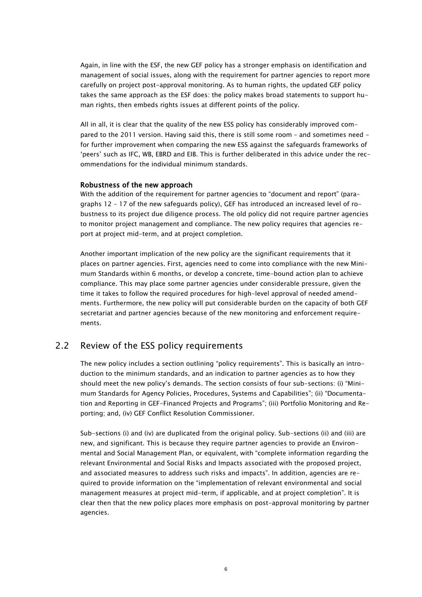Again, in line with the ESF, the new GEF policy has a stronger emphasis on identification and management of social issues, along with the requirement for partner agencies to report more carefully on project post-approval monitoring. As to human rights, the updated GEF policy takes the same approach as the ESF does: the policy makes broad statements to support human rights, then embeds rights issues at different points of the policy.

All in all, it is clear that the quality of the new ESS policy has considerably improved compared to the 2011 version. Having said this, there is still some room - and sometimes need for further improvement when comparing the new ESS against the safeguards frameworks of 'peers' such as IFC, WB, EBRD and EIB. This is further deliberated in this advice under the recommendations for the individual minimum standards.

#### Robustness of the new approach

With the addition of the requirement for partner agencies to "document and report" (paragraphs 12 – 17 of the new safeguards policy), GEF has introduced an increased level of robustness to its project due diligence process. The old policy did not require partner agencies to monitor project management and compliance. The new policy requires that agencies report at project mid-term, and at project completion.

Another important implication of the new policy are the significant requirements that it places on partner agencies. First, agencies need to come into compliance with the new Minimum Standards within 6 months, or develop a concrete, time-bound action plan to achieve compliance. This may place some partner agencies under considerable pressure, given the time it takes to follow the required procedures for high-level approval of needed amendments. Furthermore, the new policy will put considerable burden on the capacity of both GEF secretariat and partner agencies because of the new monitoring and enforcement requirements.

### <span id="page-7-0"></span>2.2 Review of the ESS policy requirements

The new policy includes a section outlining "policy requirements". This is basically an introduction to the minimum standards, and an indication to partner agencies as to how they should meet the new policy's demands. The section consists of four sub-sections: (i) "Minimum Standards for Agency Policies, Procedures, Systems and Capabilities"; (ii) "Documentation and Reporting in GEF-Financed Projects and Programs"; (iii) Portfolio Monitoring and Reporting; and, (iv) GEF Conflict Resolution Commissioner.

Sub-sections (i) and (iv) are duplicated from the original policy. Sub-sections (ii) and (iii) are new, and significant. This is because they require partner agencies to provide an Environmental and Social Management Plan, or equivalent, with "complete information regarding the relevant Environmental and Social Risks and Impacts associated with the proposed project, and associated measures to address such risks and impacts". In addition, agencies are required to provide information on the "implementation of relevant environmental and social management measures at project mid-term, if applicable, and at project completion". It is clear then that the new policy places more emphasis on post-approval monitoring by partner agencies.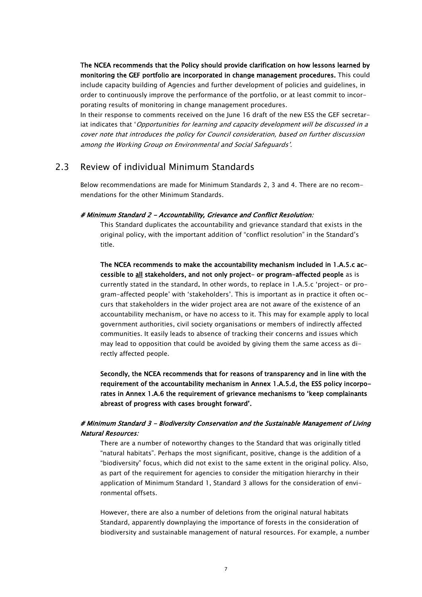The NCEA recommends that the Policy should provide clarification on how lessons learned by monitoring the GEF portfolio are incorporated in change management procedures. This could include capacity building of Agencies and further development of policies and guidelines, in order to continuously improve the performance of the portfolio, or at least commit to incorporating results of monitoring in change management procedures.

In their response to comments received on the June 16 draft of the new ESS the GEF secretariat indicates that 'Opportunities for learning and capacity development will be discussed in a cover note that introduces the policy for Council consideration, based on further discussion among the Working Group on Environmental and Social Safeguards'.

### <span id="page-8-0"></span>2.3 Review of individual Minimum Standards

Below recommendations are made for Minimum Standards 2, 3 and 4. There are no recommendations for the other Minimum Standards.

#### # Minimum Standard 2 - Accountability, Grievance and Conflict Resolution:

This Standard duplicates the accountability and grievance standard that exists in the original policy, with the important addition of "conflict resolution" in the Standard's title.

The NCEA recommends to make the accountability mechanism included in 1.A.5.c accessible to all stakeholders, and not only project- or program-affected people as is currently stated in the standard. In other words, to replace in 1.A.5.c 'project- or program-affected people' with 'stakeholders'. This is important as in practice it often occurs that stakeholders in the wider project area are not aware of the existence of an accountability mechanism, or have no access to it. This may for example apply to local government authorities, civil society organisations or members of indirectly affected communities. It easily leads to absence of tracking their concerns and issues which may lead to opposition that could be avoided by giving them the same access as directly affected people.

Secondly, the NCEA recommends that for reasons of transparency and in line with the requirement of the accountability mechanism in Annex 1.A.5.d, the ESS policy incorporates in Annex 1.A.6 the requirement of grievance mechanisms to 'keep complainants abreast of progress with cases brought forward'.

#### # Minimum Standard 3 - Biodiversity Conservation and the Sustainable Management of Living Natural Resources:

There are a number of noteworthy changes to the Standard that was originally titled "natural habitats". Perhaps the most significant, positive, change is the addition of a "biodiversity" focus, which did not exist to the same extent in the original policy. Also, as part of the requirement for agencies to consider the mitigation hierarchy in their application of Minimum Standard 1, Standard 3 allows for the consideration of environmental offsets.

However, there are also a number of deletions from the original natural habitats Standard, apparently downplaying the importance of forests in the consideration of biodiversity and sustainable management of natural resources. For example, a number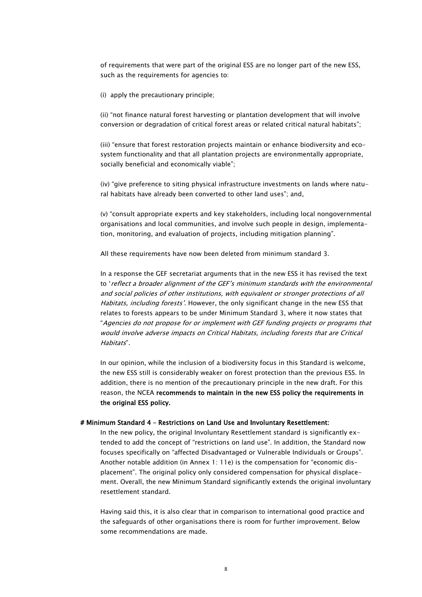of requirements that were part of the original ESS are no longer part of the new ESS, such as the requirements for agencies to:

(i) apply the precautionary principle;

(ii) "not finance natural forest harvesting or plantation development that will involve conversion or degradation of critical forest areas or related critical natural habitats";

(iii) "ensure that forest restoration projects maintain or enhance biodiversity and ecosystem functionality and that all plantation projects are environmentally appropriate, socially beneficial and economically viable";

(iv) "give preference to siting physical infrastructure investments on lands where natural habitats have already been converted to other land uses"; and,

(v) "consult appropriate experts and key stakeholders, including local nongovernmental organisations and local communities, and involve such people in design, implementation, monitoring, and evaluation of projects, including mitigation planning".

All these requirements have now been deleted from minimum standard 3.

In a response the GEF secretariat arguments that in the new ESS it has revised the text to 'reflect a broader alignment of the GEF's minimum standards with the environmental and social policies of other institutions, with equivalent or stronger protections of all Habitats, including forests'. However, the only significant change in the new ESS that relates to forests appears to be under Minimum Standard 3, where it now states that "Agencies do not propose for or implement with GEF funding projects or programs that would involve adverse impacts on Critical Habitats, including forests that are Critical Habitats".

In our opinion, while the inclusion of a biodiversity focus in this Standard is welcome, the new ESS still is considerably weaker on forest protection than the previous ESS. In addition, there is no mention of the precautionary principle in the new draft. For this reason, the NCEA recommends to maintain in the new ESS policy the requirements in the original ESS policy.

#### # Minimum Standard 4 – Restrictions on Land Use and Involuntary Resettlement:

In the new policy, the original Involuntary Resettlement standard is significantly extended to add the concept of "restrictions on land use". In addition, the Standard now focuses specifically on "affected Disadvantaged or Vulnerable Individuals or Groups". Another notable addition (in Annex 1: 11e) is the compensation for "economic displacement". The original policy only considered compensation for physical displacement. Overall, the new Minimum Standard significantly extends the original involuntary resettlement standard.

Having said this, it is also clear that in comparison to international good practice and the safeguards of other organisations there is room for further improvement. Below some recommendations are made.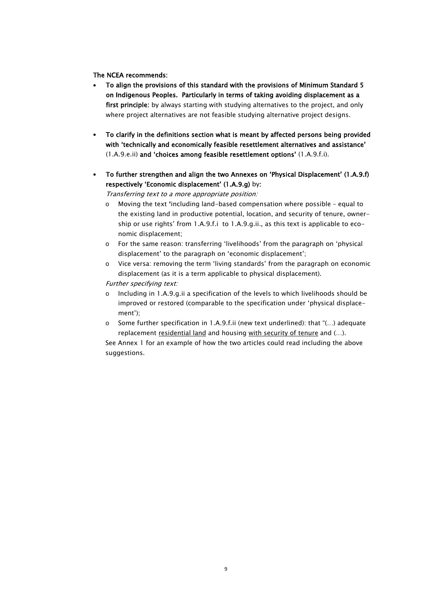#### The NCEA recommends:

- To align the provisions of this standard with the provisions of Minimum Standard 5 on Indigenous Peoples. Particularly in terms of taking avoiding displacement as a first principle: by always starting with studying alternatives to the project, and only where project alternatives are not feasible studying alternative project designs.
- To clarify in the definitions section what is meant by affected persons being provided with 'technically and economically feasible resettlement alternatives and assistance' (1.A.9.e.ii) and 'choices among feasible resettlement options' (1.A.9.f.i).
- To further strengthen and align the two Annexes on 'Physical Displacement' (1.A.9.f) respectively 'Economic displacement' (1.A.9.g) by:

Transferring text to a more appropriate position:

- o Moving the text 'including land-based compensation where possible equal to the existing land in productive potential, location, and security of tenure, ownership or use rights' from 1.A.9.f.i to 1.A.9.g.ii., as this text is applicable to economic displacement;
- o For the same reason: transferring 'livelihoods' from the paragraph on 'physical displacement' to the paragraph on 'economic displacement';
- o Vice versa: removing the term 'living standards' from the paragraph on economic displacement (as it is a term applicable to physical displacement).

Further specifying text:

- o Including in 1.A.9.g.ii a specification of the levels to which livelihoods should be improved or restored (comparable to the specification under 'physical displacement');
- o Some further specification in 1.A.9.f.ii (new text underlined): that "(…) adequate replacement residential land and housing with security of tenure and (...).

See Annex 1 for an example of how the two articles could read including the above suggestions.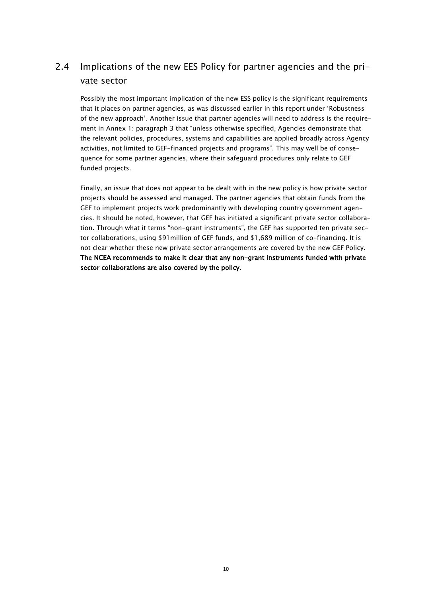### <span id="page-11-0"></span>2.4 Implications of the new EES Policy for partner agencies and the private sector

Possibly the most important implication of the new ESS policy is the significant requirements that it places on partner agencies, as was discussed earlier in this report under 'Robustness of the new approach'. Another issue that partner agencies will need to address is the requirement in Annex 1: paragraph 3 that "unless otherwise specified, Agencies demonstrate that the relevant policies, procedures, systems and capabilities are applied broadly across Agency activities, not limited to GEF-financed projects and programs". This may well be of consequence for some partner agencies, where their safeguard procedures only relate to GEF funded projects.

Finally, an issue that does not appear to be dealt with in the new policy is how private sector projects should be assessed and managed. The partner agencies that obtain funds from the GEF to implement projects work predominantly with developing country government agencies. It should be noted, however, that GEF has initiated a significant private sector collaboration. Through what it terms "non-grant instruments", the GEF has supported ten private sector collaborations, using \$91million of GEF funds, and \$1,689 million of co-financing. It is not clear whether these new private sector arrangements are covered by the new GEF Policy. The NCEA recommends to make it clear that any non-grant instruments funded with private sector collaborations are also covered by the policy.